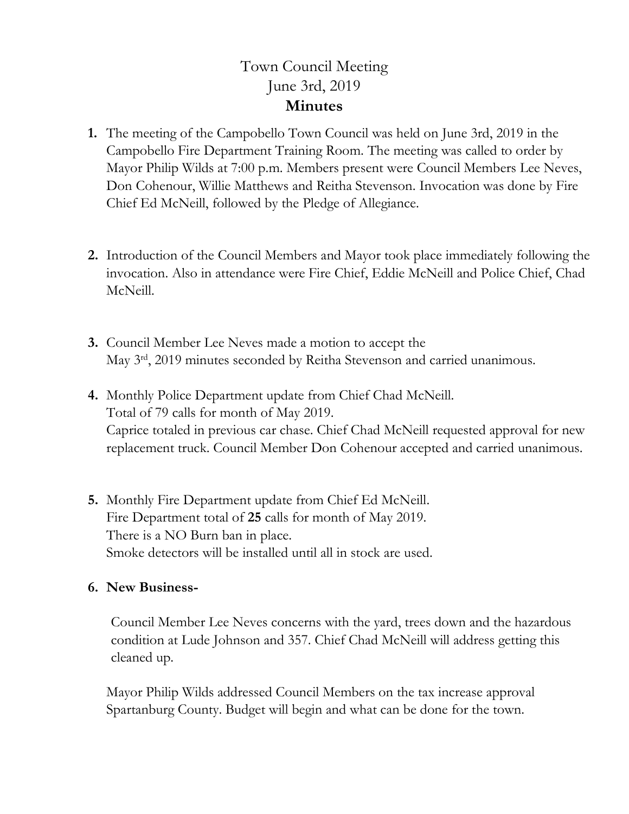## Town Council Meeting June 3rd, 2019 **Minutes**

- **1.** The meeting of the Campobello Town Council was held on June 3rd, 2019 in the Campobello Fire Department Training Room. The meeting was called to order by Mayor Philip Wilds at 7:00 p.m. Members present were Council Members Lee Neves, Don Cohenour, Willie Matthews and Reitha Stevenson. Invocation was done by Fire Chief Ed McNeill, followed by the Pledge of Allegiance.
- **2.** Introduction of the Council Members and Mayor took place immediately following the invocation. Also in attendance were Fire Chief, Eddie McNeill and Police Chief, Chad McNeill.
- **3.** Council Member Lee Neves made a motion to accept the May 3<sup>rd</sup>, 2019 minutes seconded by Reitha Stevenson and carried unanimous.
- **4.** Monthly Police Department update from Chief Chad McNeill. Total of 79 calls for month of May 2019. Caprice totaled in previous car chase. Chief Chad McNeill requested approval for new replacement truck. Council Member Don Cohenour accepted and carried unanimous.
- **5.** Monthly Fire Department update from Chief Ed McNeill. Fire Department total of **25** calls for month of May 2019. There is a NO Burn ban in place. Smoke detectors will be installed until all in stock are used.

## **6. New Business-**

Council Member Lee Neves concerns with the yard, trees down and the hazardous condition at Lude Johnson and 357. Chief Chad McNeill will address getting this cleaned up.

Mayor Philip Wilds addressed Council Members on the tax increase approval Spartanburg County. Budget will begin and what can be done for the town.